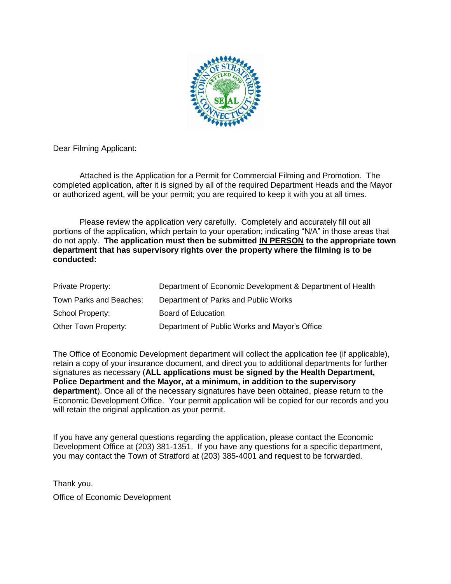

Dear Filming Applicant:

Attached is the Application for a Permit for Commercial Filming and Promotion. The completed application, after it is signed by all of the required Department Heads and the Mayor or authorized agent, will be your permit; you are required to keep it with you at all times.

Please review the application very carefully. Completely and accurately fill out all portions of the application, which pertain to your operation; indicating "N/A" in those areas that do not apply. **The application must then be submitted IN PERSON to the appropriate town department that has supervisory rights over the property where the filming is to be conducted:**

| Private Property:       | Department of Economic Development & Department of Health |
|-------------------------|-----------------------------------------------------------|
| Town Parks and Beaches: | Department of Parks and Public Works                      |
| School Property:        | Board of Education                                        |
| Other Town Property:    | Department of Public Works and Mayor's Office             |

The Office of Economic Development department will collect the application fee (if applicable), retain a copy of your insurance document, and direct you to additional departments for further signatures as necessary (**ALL applications must be signed by the Health Department, Police Department and the Mayor, at a minimum, in addition to the supervisory department**). Once all of the necessary signatures have been obtained, please return to the Economic Development Office. Your permit application will be copied for our records and you will retain the original application as your permit.

If you have any general questions regarding the application, please contact the Economic Development Office at (203) 381-1351. If you have any questions for a specific department, you may contact the Town of Stratford at (203) 385-4001 and request to be forwarded.

Thank you. Office of Economic Development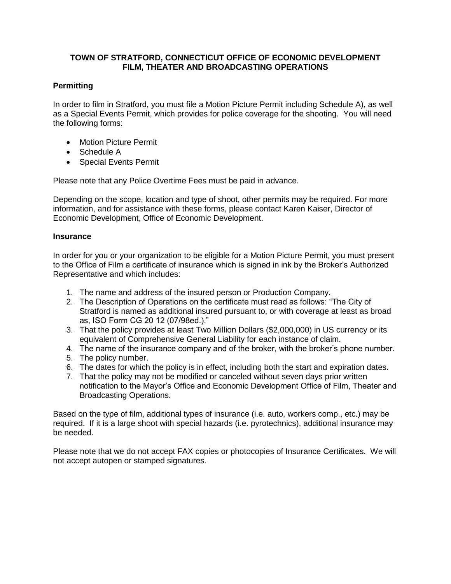## **TOWN OF STRATFORD, CONNECTICUT OFFICE OF ECONOMIC DEVELOPMENT FILM, THEATER AND BROADCASTING OPERATIONS**

# **Permitting**

In order to film in Stratford, you must file a Motion Picture Permit including Schedule A), as well as a Special Events Permit, which provides for police coverage for the shooting. You will need the following forms:

- Motion Picture Permit
- Schedule A
- Special Events Permit

Please note that any Police Overtime Fees must be paid in advance.

Depending on the scope, location and type of shoot, other permits may be required. For more information, and for assistance with these forms, please contact Karen Kaiser, Director of Economic Development, Office of Economic Development.

### **Insurance**

In order for you or your organization to be eligible for a Motion Picture Permit, you must present to the Office of Film a certificate of insurance which is signed in ink by the Broker's Authorized Representative and which includes:

- 1. The name and address of the insured person or Production Company.
- 2. The Description of Operations on the certificate must read as follows: "The City of Stratford is named as additional insured pursuant to, or with coverage at least as broad as, ISO Form CG 20 12 (07/98ed.)."
- 3. That the policy provides at least Two Million Dollars (\$2,000,000) in US currency or its equivalent of Comprehensive General Liability for each instance of claim.
- 4. The name of the insurance company and of the broker, with the broker's phone number.
- 5. The policy number.
- 6. The dates for which the policy is in effect, including both the start and expiration dates.
- 7. That the policy may not be modified or canceled without seven days prior written notification to the Mayor's Office and Economic Development Office of Film, Theater and Broadcasting Operations.

Based on the type of film, additional types of insurance (i.e. auto, workers comp., etc.) may be required. If it is a large shoot with special hazards (i.e. pyrotechnics), additional insurance may be needed.

Please note that we do not accept FAX copies or photocopies of Insurance Certificates. We will not accept autopen or stamped signatures.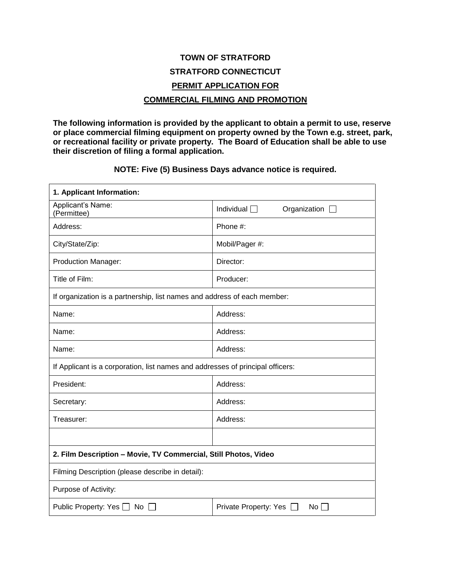# **TOWN OF STRATFORD STRATFORD CONNECTICUT PERMIT APPLICATION FOR COMMERCIAL FILMING AND PROMOTION**

**The following information is provided by the applicant to obtain a permit to use, reserve or place commercial filming equipment on property owned by the Town e.g. street, park, or recreational facility or private property. The Board of Education shall be able to use their discretion of filing a formal application.**

**NOTE: Five (5) Business Days advance notice is required.**

| 1. Applicant Information:                                                      |                                                      |  |  |
|--------------------------------------------------------------------------------|------------------------------------------------------|--|--|
| Applicant's Name:<br>(Permittee)                                               | Individual $\Box$<br>Organization $\square$          |  |  |
| Address:                                                                       | Phone #:                                             |  |  |
| City/State/Zip:                                                                | Mobil/Pager #:                                       |  |  |
| <b>Production Manager:</b>                                                     | Director:                                            |  |  |
| Title of Film:                                                                 | Producer:                                            |  |  |
| If organization is a partnership, list names and address of each member:       |                                                      |  |  |
| Name:                                                                          | Address:                                             |  |  |
| Name:                                                                          | Address:                                             |  |  |
| Name:                                                                          | Address:                                             |  |  |
| If Applicant is a corporation, list names and addresses of principal officers: |                                                      |  |  |
| President:                                                                     | Address:                                             |  |  |
| Secretary:                                                                     | Address:                                             |  |  |
| Treasurer:                                                                     | Address:                                             |  |  |
|                                                                                |                                                      |  |  |
| 2. Film Description - Movie, TV Commercial, Still Photos, Video                |                                                      |  |  |
| Filming Description (please describe in detail):                               |                                                      |  |  |
| Purpose of Activity:                                                           |                                                      |  |  |
| Public Property: Yes □<br>No $\Box$                                            | Private Property: Yes<br>$No$ $\Box$<br>$\mathbf{1}$ |  |  |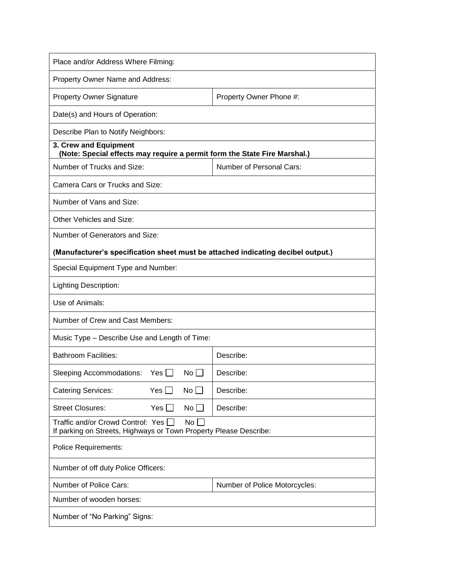| Place and/or Address Where Filming:                                                                          |                               |  |  |
|--------------------------------------------------------------------------------------------------------------|-------------------------------|--|--|
| Property Owner Name and Address:                                                                             |                               |  |  |
| <b>Property Owner Signature</b>                                                                              | Property Owner Phone #:       |  |  |
| Date(s) and Hours of Operation:                                                                              |                               |  |  |
| Describe Plan to Notify Neighbors:                                                                           |                               |  |  |
| 3. Crew and Equipment<br>(Note: Special effects may require a permit form the State Fire Marshal.)           |                               |  |  |
| Number of Trucks and Size:                                                                                   | Number of Personal Cars:      |  |  |
| Camera Cars or Trucks and Size:                                                                              |                               |  |  |
| Number of Vans and Size:                                                                                     |                               |  |  |
| Other Vehicles and Size:                                                                                     |                               |  |  |
| Number of Generators and Size:                                                                               |                               |  |  |
| (Manufacturer's specification sheet must be attached indicating decibel output.)                             |                               |  |  |
| Special Equipment Type and Number:                                                                           |                               |  |  |
| Lighting Description:                                                                                        |                               |  |  |
| Use of Animals:                                                                                              |                               |  |  |
| Number of Crew and Cast Members:                                                                             |                               |  |  |
| Music Type – Describe Use and Length of Time:                                                                |                               |  |  |
| <b>Bathroom Facilities:</b>                                                                                  | Describe:                     |  |  |
| $No$    <br>Sleeping Accommodations:<br>Yes II                                                               | Describe:                     |  |  |
| <b>Catering Services:</b><br>Yes $\Box$<br>No                                                                | Describe:                     |  |  |
| <b>Street Closures:</b><br>$Yes \Box$<br>No                                                                  | Describe:                     |  |  |
| Traffic and/or Crowd Control: Yes<br>No<br>If parking on Streets, Highways or Town Property Please Describe: |                               |  |  |
| <b>Police Requirements:</b>                                                                                  |                               |  |  |
| Number of off duty Police Officers:                                                                          |                               |  |  |
| Number of Police Cars:                                                                                       | Number of Police Motorcycles: |  |  |
| Number of wooden horses:                                                                                     |                               |  |  |
| Number of "No Parking" Signs:                                                                                |                               |  |  |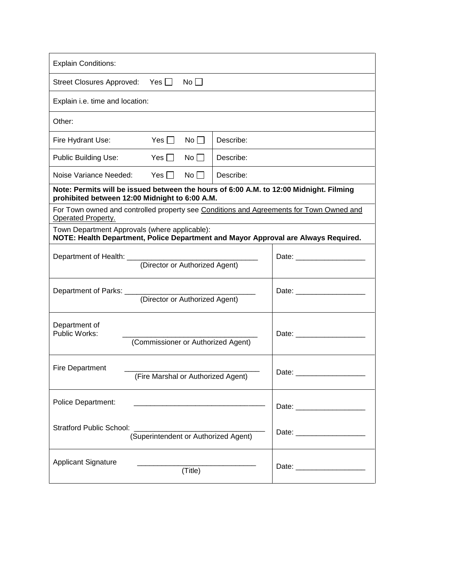| <b>Explain Conditions:</b>                                                                                                                                                                                                                           |                                                                                                                                                                                                                                |  |  |
|------------------------------------------------------------------------------------------------------------------------------------------------------------------------------------------------------------------------------------------------------|--------------------------------------------------------------------------------------------------------------------------------------------------------------------------------------------------------------------------------|--|--|
| Street Closures Approved: Yes □<br>No                                                                                                                                                                                                                |                                                                                                                                                                                                                                |  |  |
| Explain i.e. time and location:                                                                                                                                                                                                                      |                                                                                                                                                                                                                                |  |  |
| Other:                                                                                                                                                                                                                                               |                                                                                                                                                                                                                                |  |  |
| Yes $\Box$<br>Fire Hydrant Use:<br>No <sub>1</sub>                                                                                                                                                                                                   | Describe:                                                                                                                                                                                                                      |  |  |
| Public Building Use:<br>Yes $\Box$<br>$No$ $\Box$                                                                                                                                                                                                    | Describe:                                                                                                                                                                                                                      |  |  |
| Noise Variance Needed: Yes    <br>$No$ $\Box$                                                                                                                                                                                                        | Describe:                                                                                                                                                                                                                      |  |  |
| Note: Permits will be issued between the hours of 6:00 A.M. to 12:00 Midnight. Filming<br>prohibited between 12:00 Midnight to 6:00 A.M.                                                                                                             |                                                                                                                                                                                                                                |  |  |
| For Town owned and controlled property see Conditions and Agreements for Town Owned and<br>Operated Property.                                                                                                                                        |                                                                                                                                                                                                                                |  |  |
| Town Department Approvals (where applicable):<br>NOTE: Health Department, Police Department and Mayor Approval are Always Required.                                                                                                                  |                                                                                                                                                                                                                                |  |  |
| (Director or Authorized Agent)                                                                                                                                                                                                                       |                                                                                                                                                                                                                                |  |  |
| (Director or Authorized Agent)                                                                                                                                                                                                                       |                                                                                                                                                                                                                                |  |  |
| Department of<br>Public Works:<br>(Commissioner or Authorized Agent)                                                                                                                                                                                 |                                                                                                                                                                                                                                |  |  |
| <b>Fire Department</b><br>(Fire Marshal or Authorized Agent)                                                                                                                                                                                         | Date: the contract of the contract of the contract of the contract of the contract of the contract of the contract of the contract of the contract of the contract of the contract of the contract of the contract of the cont |  |  |
| Police Department:<br>Date: the contract of the contract of the contract of the contract of the contract of the contract of the contract of the contract of the contract of the contract of the contract of the contract of the contract of the cont |                                                                                                                                                                                                                                |  |  |
| <b>Stratford Public School:</b><br>(Superintendent or Authorized Agent)                                                                                                                                                                              |                                                                                                                                                                                                                                |  |  |
| <b>Applicant Signature</b><br>(Title)                                                                                                                                                                                                                | Date: <u>_________________</u>                                                                                                                                                                                                 |  |  |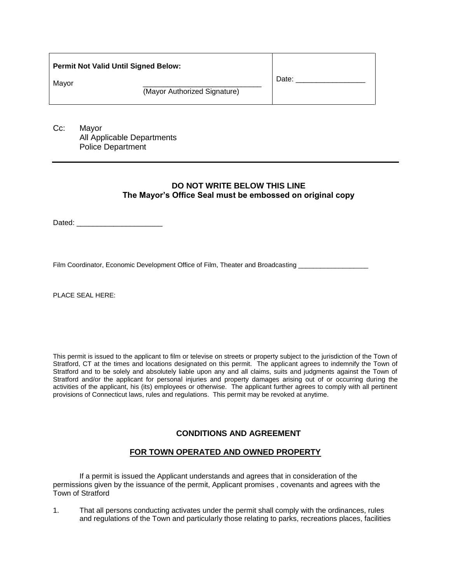| Mayor<br>(Mayor Authorized Signature) | Date: |
|---------------------------------------|-------|

Cc: Mayor All Applicable Departments Police Department

### **DO NOT WRITE BELOW THIS LINE The Mayor's Office Seal must be embossed on original copy**

Dated: \_\_\_\_\_\_\_\_\_\_\_\_\_\_\_\_\_\_\_\_\_

Film Coordinator, Economic Development Office of Film, Theater and Broadcasting

PLACE SEAL HERE:

This permit is issued to the applicant to film or televise on streets or property subject to the jurisdiction of the Town of Stratford, CT at the times and locations designated on this permit. The applicant agrees to indemnify the Town of Stratford and to be solely and absolutely liable upon any and all claims, suits and judgments against the Town of Stratford and/or the applicant for personal injuries and property damages arising out of or occurring during the activities of the applicant, his (its) employees or otherwise. The applicant further agrees to comply with all pertinent provisions of Connecticut laws, rules and regulations. This permit may be revoked at anytime.

### **CONDITIONS AND AGREEMENT**

### **FOR TOWN OPERATED AND OWNED PROPERTY**

If a permit is issued the Applicant understands and agrees that in consideration of the permissions given by the issuance of the permit, Applicant promises , covenants and agrees with the Town of Stratford

1. That all persons conducting activates under the permit shall comply with the ordinances, rules and regulations of the Town and particularly those relating to parks, recreations places, facilities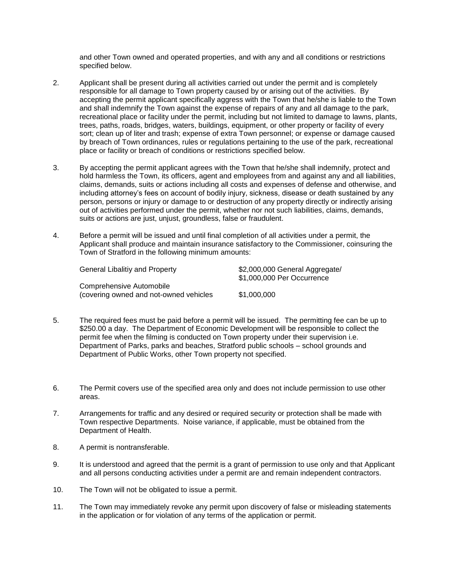and other Town owned and operated properties, and with any and all conditions or restrictions specified below.

- 2. Applicant shall be present during all activities carried out under the permit and is completely responsible for all damage to Town property caused by or arising out of the activities. By accepting the permit applicant specifically aggress with the Town that he/she is liable to the Town and shall indemnify the Town against the expense of repairs of any and all damage to the park, recreational place or facility under the permit, including but not limited to damage to lawns, plants, trees, paths, roads, bridges, waters, buildings, equipment, or other property or facility of every sort; clean up of liter and trash; expense of extra Town personnel; or expense or damage caused by breach of Town ordinances, rules or regulations pertaining to the use of the park, recreational place or facility or breach of conditions or restrictions specified below.
- 3. By accepting the permit applicant agrees with the Town that he/she shall indemnify, protect and hold harmless the Town, its officers, agent and employees from and against any and all liabilities, claims, demands, suits or actions including all costs and expenses of defense and otherwise, and including attorney's fees on account of bodily injury, sickness, disease or death sustained by any person, persons or injury or damage to or destruction of any property directly or indirectly arising out of activities performed under the permit, whether nor not such liabilities, claims, demands, suits or actions are just, unjust, groundless, false or fraudulent.
- 4. Before a permit will be issued and until final completion of all activities under a permit, the Applicant shall produce and maintain insurance satisfactory to the Commissioner, coinsuring the Town of Stratford in the following minimum amounts:

| General Libalitiy and Property         | \$2,000,000 General Aggregate/ |
|----------------------------------------|--------------------------------|
|                                        | \$1,000,000 Per Occurrence     |
| Comprehensive Automobile               |                                |
| (covering owned and not-owned vehicles | \$1,000,000                    |

- 5. The required fees must be paid before a permit will be issued. The permitting fee can be up to \$250.00 a day. The Department of Economic Development will be responsible to collect the permit fee when the filming is conducted on Town property under their supervision i.e. Department of Parks, parks and beaches, Stratford public schools – school grounds and Department of Public Works, other Town property not specified.
- 6. The Permit covers use of the specified area only and does not include permission to use other areas.
- 7. Arrangements for traffic and any desired or required security or protection shall be made with Town respective Departments. Noise variance, if applicable, must be obtained from the Department of Health.
- 8. A permit is nontransferable.
- 9. It is understood and agreed that the permit is a grant of permission to use only and that Applicant and all persons conducting activities under a permit are and remain independent contractors.
- 10. The Town will not be obligated to issue a permit.
- 11. The Town may immediately revoke any permit upon discovery of false or misleading statements in the application or for violation of any terms of the application or permit.